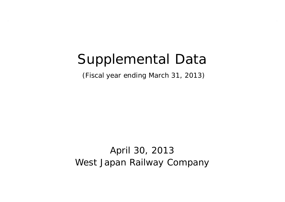# Supplemental Data

(Fiscal year ending March 31, 2013)

April 30, 2013 West Japan Railway Company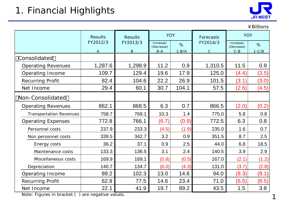

1

|                                |                |                |                         |           |                |                         | ¥ Billions |
|--------------------------------|----------------|----------------|-------------------------|-----------|----------------|-------------------------|------------|
|                                | <b>Results</b> | <b>Results</b> | <b>YOY</b>              |           | Forecasts      | <b>YOY</b>              |            |
|                                | FY2012/3       | FY2013/3       | Increase/<br>(Decrease) | %         | FY2014/3       | Increase/<br>(Decrease) | %          |
|                                | $\overline{A}$ | B              | $B-A$                   | $1 - B/A$ | $\overline{C}$ | $C - B$                 | $1-C/B$    |
| Consolidated                   |                |                |                         |           |                |                         |            |
| <b>Operating Revenues</b>      | 1,287.6        | 1,298.9        | 11.2                    | 0.9       | 1,310.5        | 11.5                    | 0.9        |
| Operating Income               | 109.7          | 129.4          | 19.6                    | 17.9      | 125.0          | (4.4)                   | (3.5)      |
| <b>Recurring Profit</b>        | 82.4           | 104.6          | 22.2                    | 26.9      | 101.5          | (3.1)                   | (3.0)      |
| Net Income                     | 29.4           | 60.1           | 30.7                    | 104.1     | 57.5           | (2.6)                   | (4.5)      |
| Non-Consolidated               |                |                |                         |           |                |                         |            |
| <b>Operating Revenues</b>      | 862.1          | 868.5          | 6.3                     | 0.7       | 866.5          | (2.0)                   | (0.2)      |
| <b>Transportation Revenues</b> | 758.7          | 769.1          | 10.3                    | 1.4       | 775.0          | 5.8                     | 0.8        |
| <b>Operating Expenses</b>      | 772.8          | 766.1          | (6.7)                   | (0.9)     | 772.5          | 6.3                     | 0.8        |
| Personnel costs                | 237.9          | 233.3          | (4.5)                   | (1.9)     | 235.0          | 1.6                     | 0.7        |
| Non personnel costs            | 339.5          | 342.7          | 3.2                     | 0.9       | 351.5          | 8.7                     | 2.5        |
| Energy costs                   | 36.2           | 37.1           | 0.9                     | 2.5       | 44.0           | 6.8                     | 18.5       |
| Maintenance costs              | 133.3          | 136.5          | 3.1                     | 2.4       | 140.5          | 3.9                     | 2.9        |
| Miscellaneous costs            | 169.9          | 169.1          | (0.8)                   | (0.5)     | 167.0          | (2.1)                   | (1.2)      |
| Depreciation                   | 140.7          | 134.7          | (6.0)                   | (4.3)     | 131.0          | (3.7)                   | (2.8)      |
| Operating Income               | 89.2           | 102.3          | 13.0                    | 14.6      | 94.0           | (8.3)                   | (8.1)      |
| <b>Recurring Profit</b>        | 62.8           | 77.5           | 14.6                    | 23.4      | 71.0           | (6.5)                   | (8.5)      |
| Net Income                     | 22.1           | 41.9           | 19.7                    | 89.2      | 43.5           | 1.5                     | 3.8        |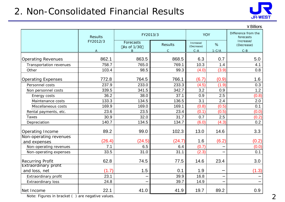# 2. Non-Consolidated Financial Results



|                                              |                |                         |                |                         |         | $4$ Billions                     |
|----------------------------------------------|----------------|-------------------------|----------------|-------------------------|---------|----------------------------------|
|                                              | <b>Results</b> | FY2013/3                |                | <b>YOY</b>              |         | Difference from the<br>forecasts |
|                                              | FY2012/3       | Forecasts<br>As of 1/30 | <b>Results</b> | Increase/<br>(Decrease) | %       | Increase/<br>(Decrease)          |
|                                              | Α              | B                       | $\mathcal{C}$  | $C - A$                 | $1-C/A$ | $C - B$                          |
| <b>Operating Revenues</b>                    | 862.1          | 863.5                   | 868.5          | 6.3                     | 0.7     | 5.0                              |
| Transportation revenues                      | 758.7          | 765.0                   | 769.1          | 10.3                    | 1.4     | 4.1                              |
| Other                                        | 103.4          | 98.5                    | 99.3           | (4.0)                   | (3.9)   | 0.8                              |
| <b>Operating Expenses</b>                    | 772.8          | 764.5                   | 766.1          | (6.7)                   | (0.9)   | 1.6                              |
| Personnel costs                              | 237.9          | 233.0                   | 233.3          | (4.5)                   | (1.9)   | 0.3                              |
| Non personnel costs                          | 339.5          | 341.5                   | 342.7          | 3.2                     | 0.9     | 1.2                              |
| Energy costs                                 | 36.2           | 38.0                    | 37.1           | 0.9                     | 2.5     | (0.8)                            |
| Maintenance costs                            | 133.3          | 134.5                   | 136.5          | 3.1                     | 2.4     | 2.0                              |
| Miscellaneous costs                          | 169.9          | 169.0                   | 169.1          | (0.8)                   | (0.5)   | 0.1                              |
| Rental payments, etc.                        | 23.6           | 23.5                    | 23.4           | (0.1)                   | (0.5)   | (0.0)                            |
| <b>Taxes</b>                                 | 30.9           | 32.0                    | 31.7           | 0.7                     | 2.5     | (0.2)                            |
| Depreciation                                 | 140.7          | 134.5                   | 134.7          | (6.0)                   | (4.3)   | 0.2                              |
| Operating Income                             | 89.2           | 99.0                    | 102.3          | 13.0                    | 14.6    | 3.3                              |
| Non-operating revenues                       |                |                         |                |                         |         |                                  |
| and expenses                                 | (26.4)         | (24.5)                  | (24.7)         | 1.6                     | (6.2)   | (0.2)                            |
| Non-operating revenues                       | 7.1            | 6.5                     | 6.4            | (0.7)                   |         | (0.0)                            |
| Non-operating expenses                       | 33.5           | 31.0                    | 31.1           | (2.3)                   |         | 0.1                              |
| <b>Recurring Profit</b>                      | 62.8           | 74.5                    | 77.5           | 14.6                    | 23.4    | 3.0                              |
| <b>Extraordinary profit</b><br>and loss, net | (1.7)          | 1.5                     | 0.1            | 1.9                     |         | (1.3)                            |
| Extraordinary profit                         | 23.1           |                         | 39.9           | 16.8                    |         |                                  |
| <b>Extraordinary loss</b>                    | 24.8           |                         | 39.7           | 14.9                    |         |                                  |
| Net Income                                   | 22.1           | 41.0                    | 41.9           | 19.7                    | 89.2    | 0.9                              |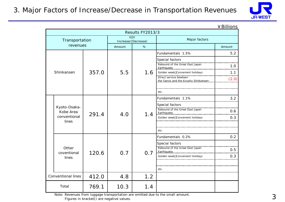

|  | ¥ Billions |
|--|------------|
|  |            |

|       | Results FY2013/3                                   |       |        |                                   |                                                                                                                               |        |  |  |  |
|-------|----------------------------------------------------|-------|--------|-----------------------------------|-------------------------------------------------------------------------------------------------------------------------------|--------|--|--|--|
|       | Transportation                                     |       |        | <b>YOY</b><br>Increase/(Decrease) | Major factors                                                                                                                 |        |  |  |  |
|       | revenues                                           |       | Amount | %                                 |                                                                                                                               | Amount |  |  |  |
|       |                                                    |       |        |                                   | Fundamentals 1.5%                                                                                                             | 5.2    |  |  |  |
|       |                                                    |       |        |                                   | Special factors                                                                                                               | 1.0    |  |  |  |
|       | Shinkansen                                         | 357.0 | 5.5    | 1.6                               | Golden week Convenient holidays                                                                                               | 1.1    |  |  |  |
|       |                                                    |       |        |                                   | Direct service bewteen<br>the Sanyo and the Kyushu Shinkansen                                                                 | (2.0)  |  |  |  |
|       |                                                    |       |        |                                   | etc.                                                                                                                          |        |  |  |  |
|       |                                                    |       |        |                                   | Fundamentals 1.1%                                                                                                             | 3.2    |  |  |  |
|       | Kyoto-Osaka-<br>Kobe Area<br>conventional<br>lines | 291.4 | 4.0    | 1.4                               | Special factors<br>Rebound of the Great East Japan                                                                            | 0.6    |  |  |  |
|       |                                                    |       |        |                                   | Golden week Convenient holidays                                                                                               | 0.3    |  |  |  |
|       |                                                    |       |        |                                   | etc.                                                                                                                          |        |  |  |  |
|       |                                                    |       |        |                                   | Fundamentals 0.2%                                                                                                             | 0.2    |  |  |  |
|       | Other<br>coventional                               | 120.6 | 0.7    |                                   | Special factors<br>alainen maina kalenna kannan maina manan manan manan kannan manan manan<br>Rebound of the Great East Japan | 0.5    |  |  |  |
|       | lines                                              |       |        | 0.7                               | Golden week Convenient holidays                                                                                               | 0.3    |  |  |  |
|       |                                                    |       |        |                                   | etc.                                                                                                                          |        |  |  |  |
|       | <b>Conventional lines</b>                          | 412.0 | 4.8    | 1.2                               |                                                                                                                               |        |  |  |  |
| Total |                                                    | 769.1 | 10.3   | 1.4                               |                                                                                                                               |        |  |  |  |

Note: Revenues from luggage transportation are omitted due to the small amount.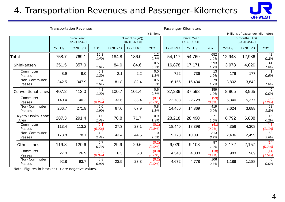### 4. Transportation Revenues and Passenger-Kilometers



Transportation Revenues **Passenger-Kilometers** 

|                           |                                    |          |                 |                                 |          | ¥ Billions      |          |                                    |                |          | Millions of passenger-kilometers |                           |
|---------------------------|------------------------------------|----------|-----------------|---------------------------------|----------|-----------------|----------|------------------------------------|----------------|----------|----------------------------------|---------------------------|
|                           | <b>Fiscal Year</b><br>$4/1$ $3/31$ |          |                 | 3 months $(4Q)$<br>$1/1$ $3/31$ |          |                 |          | <b>Fiscal Year</b><br>$4/1$ $3/31$ |                |          | 3 months $(4Q)$<br>$1/1$ $3/31$  |                           |
|                           | FY2012/3                           | FY2013/3 | <b>YOY</b>      | FY2012/3                        | FY2013/3 | <b>YOY</b>      | FY2012/3 | FY2013/3                           | <b>YOY</b>     | FY2012/3 | FY2013/3                         | YOY                       |
| Total                     | 758.7                              | 769.1    | 10.3<br>1.4%    | 184.8                           | 186.0    | 1.2<br>0.7%     | 54,117   | 54,769                             | 652<br>1.2%    | 12,943   | 12,986                           | 42<br>0.3%                |
| Shinkansen                | 351.5                              | 357.0    | 5.5<br>1.6%     | 84.0                            | 84.6     | 0.5<br>0.7%     | 16,878   | 17,171                             | 293<br>1.7%    | 3,978    | 4,020                            | 41<br>1.0%                |
| Commuter<br>Passes        | 8.9                                | 9.0      | 0.1<br>1.3%     | 2.1                             | 2.2      | 0.0<br>1.1%     | 722      | 736                                | 13<br>1.9%     | 176      | 177                              | 0.9%                      |
| Non-Commuter<br>Passes    | 342.5                              | 347.9    | 5.4<br>1.6%     | 81.8                            | 82.4     | 0.5<br>0.7%     | 16,155   | 16,434                             | 279<br>1.7%    | 3,802    | 3,842                            | 39<br>1.0%                |
| <b>Conventional Lines</b> | 407.2                              | 412.0    | 4.8<br>1.2%     | 100.7                           | 101.4    | 0.6<br>0.7%     | 37,239   | 37,598                             | 359<br>1.0%    | 8,965    | 8,965                            | $\overline{0}$<br>$0.0\%$ |
| Commuter<br>Passes        | 140.4                              | 140.2    | (0.2)<br>(0.2%) | 33.6                            | 33.4     | (0.1)<br>(0.6%  | 22,788   | 22,728                             | (59)<br>(0.3%) | 5,340    | 5,277                            | (63)<br>(1.2%)            |
| Non-Commuter<br>Passes    | 266.7                              | 271.8    | 5.0<br>1.9%     | 67.0                            | 67.9     | 0.8<br>1.3%     | 14,450   | 14,869                             | 419<br>2.9%    | 3,624    | 3,688                            | 63<br>1.8%                |
| Kyoto-Osaka-Kobe<br>Area  | 287.3                              | 291.4    | 4.0<br>1.4%     | 70.8                            | 71.7     | 0.9<br>1.3%     | 28,218   | 28,490                             | 271<br>1.0%    | 6,792    | 6,808                            | 15<br>0.2%                |
| Commuter<br>Passes        | 113.4                              | 113.2    | (0.1)<br>(0.2%) | 27.3                            | 27.1     | (0.1)<br>(0.5%) | 18,440   | 18,398                             | (41)<br>(0.2%) | 4,356    | 4,308                            | (48)<br>$(1.1\%)$         |
| Non-Commuter<br>Passes    | 173.8                              | 178.1    | 4.2<br>2.4%     | 43.4                            | 44.5     | 1.0<br>2.5%     | 9,778    | 10,091                             | 313<br>3.2%    | 2,436    | 2,499                            | 63<br>2.6%                |
| <b>Other Lines</b>        | 119.8                              | 120.6    | 0.7<br>0.7%     | 29.9                            | 29.6     | (0.2)<br>(0.9%  | 9,020    | 9,108                              | 87<br>1.0%     | 2,172    | 2,157                            | (14)<br>(0.7%)            |
| Commuter<br>Passes        | 27.0                               | 26.9     | (0.0)<br>(0.3%) | 6.3                             | 6.3      | (0.0)<br>(0.8%  | 4,348    | 4,330                              | (18)<br>(0.4%) | 983      | 969                              | (14)<br>(1.5%)            |
| Non-Commuter<br>Passes    | 92.8                               | 93.7     | 0.8<br>0.9%     | 23.5                            | 23.3     | (0.2)<br>(0.9%  | 4,672    | 4,778                              | 106<br>2.3%    | 1,188    | 1,188                            | $\Omega$<br>0.0%          |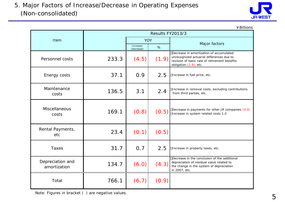

¥Billions

|                                  | Results FY2013/3 |                         |       |                                                                                                                                                                 |  |  |  |
|----------------------------------|------------------|-------------------------|-------|-----------------------------------------------------------------------------------------------------------------------------------------------------------------|--|--|--|
| Item                             |                  | <b>YOY</b>              |       | Major factors                                                                                                                                                   |  |  |  |
|                                  |                  | Increase/<br>(Decrease) | %     |                                                                                                                                                                 |  |  |  |
| Personnel costs                  | 233.3            | (4.5)                   | (1.9) | Decrease in amortization of accumulated<br>unrecognized actuarial differences due to<br>revision of basic rate of retirement benefits<br>obligation (2.9), etc. |  |  |  |
| Energy costs                     | 37.1             | 0.9                     | 2.5   | Increase in fuel price, etc.                                                                                                                                    |  |  |  |
| Maintenance<br>costs             | 136.5            | 3.1                     | 2.4   | Increase in removal costs, excluding contributions<br>from third parties, etc.                                                                                  |  |  |  |
| Miscellaneous<br>costs           | 169.1            | (0.8)                   | (0.5) | Decrease in payments for other JR companies (4.0)<br>Increase in system related costs 1.0                                                                       |  |  |  |
| Rental Payments,<br>etc          | 23.4             | (0.1)                   | (0.5) |                                                                                                                                                                 |  |  |  |
| <b>Taxes</b>                     | 31.7             | 0.7                     | 2.5   | Increase in property taxes, etc.                                                                                                                                |  |  |  |
| Depreciation and<br>amortization | 134.7            | (6.0)                   | (4.3) | Decrease in the conclusion of the additional<br>depreciation of residual value related to<br>the change in the system of depreciation<br>in 2007, etc.          |  |  |  |
| Total                            | 766.1            | (6.7)                   | (0.9) |                                                                                                                                                                 |  |  |  |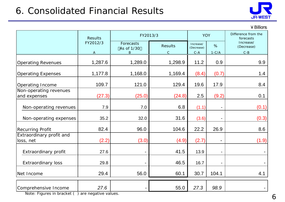# 6. Consolidated Financial Results



#### ¥Billions

|                                        | <b>Results</b>           |                              | FY2013/3                       | YOY                                |                          | Difference from the<br>forecasts   |
|----------------------------------------|--------------------------|------------------------------|--------------------------------|------------------------------------|--------------------------|------------------------------------|
|                                        | FY2012/3<br>$\mathsf{A}$ | Forecasts<br>As of 1/30<br>B | <b>Results</b><br>$\mathsf{C}$ | Increase/<br>(Decrease)<br>$C - A$ | %<br>$1-C/A$             | Increase/<br>(Decrease)<br>$C - B$ |
| <b>Operating Revenues</b>              | 1,287.6                  | 1,289.0                      | 1,298.9                        | 11.2                               | 0.9                      | 9.9                                |
| <b>Operating Expenses</b>              | 1,177.8                  | 1,168.0                      | 1,169.4                        | (8.4)                              | (0.7)                    | 1.4                                |
| Operating Income                       | 109.7                    | 121.0                        | 129.4                          | 19.6                               | 17.9                     | 8.4                                |
| Non-operating revenues<br>and expenses | (27.3)                   | (25.0)                       | (24.8)                         | 2.5                                | (9.2)                    | 0.1                                |
| Non-operating revenues                 | 7.9                      | 7.0                          | 6.8                            | (1.1)                              | $\overline{\phantom{a}}$ | (0.1)                              |
| Non-operating expenses                 | 35.2                     | 32.0                         | 31.6                           | (3.6)                              |                          | (0.3)                              |
| <b>Recurring Profit</b>                | 82.4                     | 96.0                         | 104.6                          | 22.2                               | 26.9                     | 8.6                                |
| Extraordinary profit and<br>loss, net  | (2.2)                    | (3.0)                        | (4.9)                          | (2.7)                              |                          | (1.9)                              |
| Extraordinary profit                   | 27.6                     | $\overline{\phantom{a}}$     | 41.5                           | 13.9                               |                          |                                    |
| <b>Extraordinary loss</b>              | 29.8                     |                              | 46.5                           | 16.7                               |                          |                                    |
| Net Income                             | 29.4                     | 56.0                         | 60.1                           | 30.7                               | 104.1                    | 4.1                                |
| Comprehensive Income                   | 27.6                     |                              | 55.0                           | 27.3                               | 98.9                     |                                    |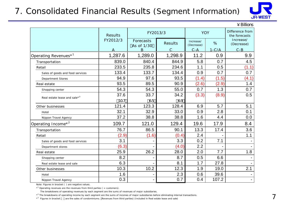### 7. Consolidated Financial Results (Segment Information)



|                                          |                |                                           |               |                         |            | $4$ Billions                     |
|------------------------------------------|----------------|-------------------------------------------|---------------|-------------------------|------------|----------------------------------|
|                                          | <b>Results</b> |                                           | FY2013/3      |                         | <b>YOY</b> | Difference from<br>the forecasts |
|                                          | FY2012/3       | Forecasts<br><b>Results</b><br>As of 1/30 |               | Increase/<br>(Decrease) | %          | Increase/<br>(Decrease)          |
|                                          |                | B                                         | $\mathcal{C}$ | $C-A$                   | $1-C/A$    | $C - B$                          |
| Operating Revenues <sup>*1</sup>         | 1,287.6        | 1,289.0                                   | 1,298.9       | 11.2                    | 0.9        | 9.9                              |
| Transportation                           | 839.0          | 840.4                                     | 844.9         | 5.8                     | 0.7        | 4.5                              |
| Retail                                   | 233.5          | 235.8                                     | 234.6         | 1.1                     | 0.5        | (1.1)                            |
| Sales of goods and food services         | 133.4          | 133.7                                     | 134.4         | 0.9                     | 0.7        | 0.7                              |
| Department Stores                        | 94.9           | 97.6                                      | 93.5          | (1.4)                   | (1.5)      | (4.1)                            |
| Real estate                              | 93.5           | 89.5                                      | 90.9          | (2.6)                   | (2.9)      | 1.4                              |
| Shopping center                          | 54.3           | 54.3                                      | 55.0          | 0.7                     | 1.3        | 0.7                              |
| Real estate lease and sale* <sup>3</sup> | 37.6           | 33.7                                      | 34.2          | (3.3)                   | (8.9)      | 0.5                              |
|                                          | 107            | 65                                        | 69            |                         |            |                                  |
| Other businesses                         | 121.4          | 123.3                                     | 128.4         | 6.9                     | 5.7        | 5.1                              |
| Hotel                                    | 32.1           | 32.9                                      | 33.0          | 0.9                     | 2.8        | 0.1                              |
| Nippon Travel Agency                     | 37.2           | 38.8                                      | 38.8          | 1.6                     | 4.4        | 0.0                              |
| Operating Income* <sup>2</sup>           | 109.7          | 121.0                                     | 129.4         | 19.6                    | 17.9       | 8.4                              |
| Transportation                           | 76.7           | 86.5                                      | 90.1          | 13.3                    | 17.4       | 3.6                              |
| Retail                                   | (2.9)          | (1.6)                                     | (0.4)         | 2.4                     |            | 1.1                              |
| Sales of goods and food services         | 3.1            |                                           | 3.3           | 0.2                     | 7.1        |                                  |
| Department stores                        | (6.3)          |                                           | (4.0)         | 2.2                     |            |                                  |
| Real estate                              | 25.9           | 26.2                                      | 28.0          | 2.0                     | 7.7        | 1.8                              |
| Shopping center                          | 8.2            |                                           | 8.7           | 0.5                     | 6.6        |                                  |
| Real estate lease and sale               | 6.3            |                                           | 8.1           | 1.7                     | 27.8       |                                  |
| Other businesses                         | 10.3           | 10.2                                      | 12.3          | 1.9                     | 19.0       | 2.1                              |
| Hotel                                    | 1.6            |                                           | 2.3           | 0.6                     | 39.6       |                                  |
| Nippon Travel Agency                     | 0.3            |                                           | 0.7           | 0.4                     | 107.2      |                                  |

Note: Figures in bracket ( ) are negative values.

 $*^1$  Operating revenues are the revenues from third parties ( = customers).

The breakdowns of operating revenues by each segment are the sums of revenues of major subsidiaries.

\*<sup>2</sup> The breakdowns of operating income by each segment are the sums of incomes of major subsidiaries before eliminating internal transactions.

\*<sup>3</sup> Figures in bracket are the sales of condominiums. Revenues from third parties) (Included in Real estate lease and sale)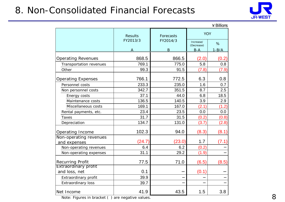## 8. Non-Consolidated Financial Forecasts



|                                        |                |           |                         | $4$ Billions |
|----------------------------------------|----------------|-----------|-------------------------|--------------|
|                                        | <b>Results</b> | Forecasts | <b>YOY</b>              |              |
|                                        | FY2013/3       | FY2014/3  | Increase/<br>(Decrease) | %            |
|                                        |                | B         | $B-A$                   | $1 - B/A$    |
| <b>Operating Revenues</b>              | 868.5          | 866.5     | (2.0)                   | (0.2)        |
| Transportation revenues                | 769.1          | 775.0     | 5.8                     | 0.8          |
| Other                                  | 99.3           | 91.5      | (7.8)                   | (7.9)        |
| <b>Operating Expenses</b>              | 766.1          | 772.5     | 6.3                     | 0.8          |
| Personnel costs                        | 233.3          | 235.0     | 1.6                     | 0.7          |
| Non personnel costs                    | 342.7          | 351.5     | 8.7                     | 2.5          |
| Energy costs                           | 37.1           | 44.0      | 6.8                     | 18.5         |
| Maintenance costs                      | 136.5          | 140.5     | 3.9                     | 2.9          |
| Miscellaneous costs                    | 169.1          | 167.0     | (2.1)                   | (1.2)        |
| Rental payments, etc.                  | 23.4           | 23.5      | 0.0                     | 0.0          |
| <b>Taxes</b>                           | 31.7           | 31.5      | (0.2)                   | (0.8)        |
| Depreciation                           | 134.7          | 131.0     | (3.7)                   | (2.8)        |
| Operating Income                       | 102.3          | 94.0      | (8.3)                   | (8.1)        |
| Non-operating revenues<br>and expenses | (24.7)         | (23.0)    | 1.7                     | (7.1)        |
| Non-operating revenues                 | 6.4            | 6.2       | (0.2)                   |              |
| Non-operating expenses                 | 31.1           | 29.2      | (1.9)                   |              |
| Recurring Profit                       | 77.5           | 71.0      | (6.5)                   | (8.5)        |
| Extraordinary profit                   |                |           |                         |              |
| and loss, net                          | 0.1            |           | (0.1)                   |              |
| Extraordinary profit                   | 39.9           |           |                         |              |
| <b>Extraordinary loss</b>              | 39.7           |           |                         |              |
| Net Income                             | 41.9           | 43.5      | 1.5                     | 3.8          |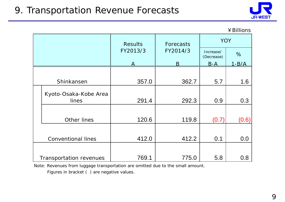## 9. Transportation Revenue Forecasts



#### ¥Billions

|                                | <b>Results</b> | Forecasts | <b>YOY</b>              |              |  |
|--------------------------------|----------------|-----------|-------------------------|--------------|--|
|                                | FY2013/3       | FY2014/3  | Increase/<br>(Decrease) | %            |  |
|                                |                | B         | <u>B-A</u>              | <u>1-B/A</u> |  |
|                                |                |           |                         |              |  |
| Shinkansen                     | 357.0          | 362.7     | 5.7                     | 1.6          |  |
| Kyoto-Osaka-Kobe Area<br>lines | 291.4          | 292.3     | 0.9                     | 0.3          |  |
| Other lines                    | 120.6          | 119.8     | (0.7)                   | (0.6)        |  |
| <b>Conventional lines</b>      | 412.0          | 412.2     | 0.1                     | 0.0          |  |
| Transportation revenues        | 769.1          | 775.0     | 5.8                     | 0.8          |  |

Note: Revenues from luggage transportation are omitted due to the small amount.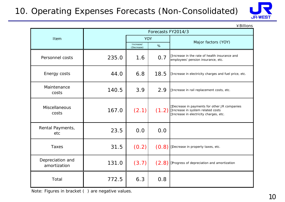### 10. Operating Expenses Forecasts (Non-Consolidated)



¥Billions

|                                  | Forecasts FY2014/3 |                         |       |                                                                                                                          |  |  |  |
|----------------------------------|--------------------|-------------------------|-------|--------------------------------------------------------------------------------------------------------------------------|--|--|--|
| Item                             |                    | <b>YOY</b>              |       | Major factors (YOY)                                                                                                      |  |  |  |
|                                  |                    | Increase/<br>(Decrease) | %     |                                                                                                                          |  |  |  |
| Personnel costs                  | 235.0              | 1.6                     | 0.7   | Increase in the rate of health insurance and<br>employees' pension insurance, etc.                                       |  |  |  |
| Energy costs                     | 44.0               | 6.8                     | 18.5  | Increase in electricity charges and fuel price, etc.                                                                     |  |  |  |
| Maintenance<br>costs             | 140.5              | 3.9                     | 2.9   | Increase in rail replacement costs, etc.                                                                                 |  |  |  |
| <b>Miscellaneous</b><br>costs    | 167.0              | (2.1)                   | (1.2) | Decrease in payments for other JR companies<br>Increase in system related costs<br>Increase in electricity charges, etc. |  |  |  |
| Rental Payments,<br>etc          | 23.5               | 0.0                     | 0.0   |                                                                                                                          |  |  |  |
| Taxes                            | 31.5               | (0.2)                   | (0.8) | Decrease in property taxes, etc.                                                                                         |  |  |  |
| Depreciation and<br>amortization | 131.0              | (3.7)                   | (2.8) | Progress of depreciation and amortization                                                                                |  |  |  |
| Total                            | 772.5              | 6.3                     | 0.8   |                                                                                                                          |  |  |  |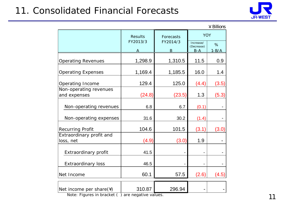# 11. Consolidated Financial Forecasts



|                           |                |           |                         | $4$ Billions |
|---------------------------|----------------|-----------|-------------------------|--------------|
|                           | <b>Results</b> | Forecasts | <b>YOY</b>              |              |
|                           | FY2013/3       | FY2014/3  | Increase/<br>(Decrease) | %            |
|                           |                | B         | $B - A$                 | $1 - B/A$    |
| <b>Operating Revenues</b> | 1,298.9        | 1,310.5   | 11.5                    | 0.9          |
| <b>Operating Expenses</b> | 1,169.4        | 1,185.5   | 16.0                    | 1.4          |
| Operating Income          | 129.4          | 125.0     | (4.4)                   | (3.5)        |
| Non-operating revenues    |                |           |                         |              |
| and expenses              | (24.8)         | (23.5)    | 1.3                     | (5.3)        |
| Non-operating revenues    | 6.8            | 6.7       | (0.1)                   |              |
| Non-operating expenses    | 31.6           | 30.2      | (1.4)                   |              |
| <b>Recurring Profit</b>   | 104.6          | 101.5     | (3.1)                   | (3.0)        |
| Extraordinary profit and  |                |           |                         |              |
| loss, net                 | (4.9)          | (3.0)     | 1.9                     |              |
| Extraordinary profit      | 41.5           |           |                         |              |
| <b>Extraordinary loss</b> | 46.5           |           |                         |              |
| Net Income                | 60.1           | 57.5      | (2.6)                   | (4.5)        |
| Net income per share(\)   | 310.87         | 296.94    |                         |              |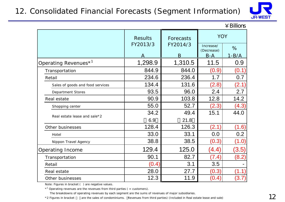### 12. Consolidated Financial Forecasts (Segment Information)



|                                     |                |           |                         | $\angle$ Billions |  |
|-------------------------------------|----------------|-----------|-------------------------|-------------------|--|
|                                     | <b>Results</b> | Forecasts |                         | <b>YOY</b>        |  |
|                                     | FY2013/3       | FY2014/3  | Increase/<br>(Decrease) | %                 |  |
|                                     |                | B         | $B-A$                   | <u>1-B/A</u>      |  |
| Operating Revenues $^{\star}{}^{1}$ | 1,298.9        | 1,310.5   | 11.5                    | 0.9               |  |
| Transportation                      | 844.9          | 844.0     | (0.9)                   | (0.1)             |  |
| Retail                              | 234.6          | 236.4     | 1.7                     | 0.7               |  |
| Sales of goods and food services    | 134.4          | 131.6     | (2.8)                   | (2.1)             |  |
| Department Stores                   | 93.5           | 96.0      | 2.4                     | 2.7               |  |
| Real estate                         | 90.9           | 103.8     | 12.8                    | 14.2              |  |
| Shopping center                     | 55.0           | 52.7      | (2.3)                   | (4.3)             |  |
|                                     | 34.2           | 49.4      | 15.1                    | 44.0              |  |
| Real estate lease and sale*2        | 6.9            | 21.8      |                         |                   |  |
| Other businesses                    | 128.4          | 126.3     | (2.1)                   | (1.6)             |  |
| Hotel                               | 33.0           | 33.1      | 0.0                     | 0.2               |  |
| Nippon Travel Agency                | 38.8           | 38.5      | (0.3)                   | (1.0)             |  |
| <b>Operating Income</b>             | 129.4          | 125.0     | (4.4)                   | (3.5)             |  |
| Transportation                      | 90.1           | 82.7      | (7.4)                   | (8.2)             |  |
| Retail                              | (0.4)          | 3.1       | 3.5                     |                   |  |
| Real estate                         | 28.0           | 27.7      | (0.3)                   | (1.1)             |  |
| Other businesses                    | 12.3           | 11.9      | (0.4)                   | (3.7)             |  |

Note: Figures in bracket ( ) are negative values.

 $*$ <sup>1</sup> Operating revenues are the revenues from third parties ( = customers).

The breakdowns of operating revenues by each segment are the sums of revenues of major subsidiaries.

\*2 Figures in bracket are the sales of condominiums. Revenues from third parties) (Included in Real estate lease and sale)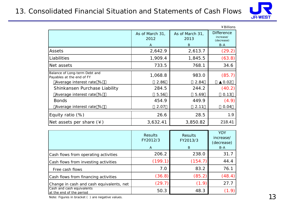### 13. Consolidated Financial Situation and Statements of Cash Flows



|                                                            |                         |                         | ¥ Billions                                   |
|------------------------------------------------------------|-------------------------|-------------------------|----------------------------------------------|
|                                                            | As of March 31,<br>2012 | As of March 31,<br>2013 | <b>Difference</b><br>increase/<br>(decrease) |
|                                                            | A                       | Β                       | $B-A$                                        |
| Assets                                                     | 2,642.9                 | 2,613.7                 | (29.2)                                       |
| Liabilities                                                | 1,909.4                 | 1,845.5                 | (63.8)                                       |
| Net assets                                                 | 733.5                   | 768.1                   | 34.6                                         |
| Balance of Long-term Debt and<br>Payables at the end of FY | 1,068.8                 | 983.0                   | (85.7)                                       |
| Average interest rate %                                    | 2.86                    | 2.84                    | 0.02                                         |
| Shinkansen Purchase Liability                              | 284.5                   | 244.2                   | (40.2)                                       |
| Average interest rate %                                    | 5.56                    | 5.69                    | 0.13                                         |
| <b>Bonds</b>                                               | 454.9                   | 449.9                   | (4.9)                                        |
| Average interest rate %                                    | 2.07                    | 2.11                    | 0.04                                         |
| Equity ratio $(\%)$                                        | 26.6                    | 28.5                    | 1.9                                          |
| Net assets per share $(\yen)$                              | 3,632.41                | 3,850.82                | 218.41                                       |

|                                                       | <b>Results</b><br>FY2012/3<br>A | <b>Results</b><br>FY2013/3<br>B | <b>YOY</b><br>increase/<br>(decrease)<br>$B-A$ |
|-------------------------------------------------------|---------------------------------|---------------------------------|------------------------------------------------|
| Cash flows from operating activities                  | 206.2                           | 238.0                           | 31.7                                           |
| Cash flows from investing activities                  | (199.1)                         | (154.7)                         | 44.4                                           |
| Free cash flows                                       | 7.0                             | 83.2                            | 76.1                                           |
| Cash flows from financing activities                  | (36.8)                          | (85.2)                          | (48.4)                                         |
| Change in cash and cash equivalents, net              | (29.7)                          | (1.9)                           | 27.7                                           |
| Cash and cash equivalents<br>at the end of the period | 50.3                            | 48.3                            | (1.9)                                          |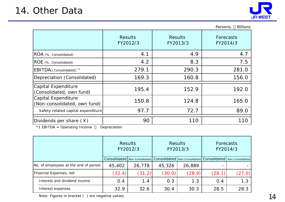

|                                                     |                            |                            | <b>Billions</b><br>Persons, |  |
|-----------------------------------------------------|----------------------------|----------------------------|-----------------------------|--|
|                                                     | <b>Results</b><br>FY2012/3 | <b>Results</b><br>FY2013/3 | Forecasts<br>FY2014/3       |  |
| ROA (%, Consolidated)                               | 4.1                        | 4.9                        | 4.7                         |  |
| ROE (%, Consolidated)                               | 4.2                        | 8.3                        | 7.5                         |  |
| <b>IEBITDA</b><br>Consolidated                      | 279.1                      | 290.3                      | 281.0                       |  |
| Depreciation (Consolidated)                         | 169.3                      | 160.8                      | 156.0                       |  |
| Capital Expenditure<br>(Consolidated, own fund)     | 195.4                      | 152.9                      | 192.0                       |  |
| Capital Expenditure<br>(Non-consolidated, own fund) | 150.8                      | 124.8                      | 165.0                       |  |
| Safety related capital expenditure                  | 97.7                       | 72.7                       | 89.0                        |  |
| Dividends per share $(*)$                           | 90                         | 110                        | 110                         |  |

\*1 EBITDA = Operating Income Depreciation

|                                       | <b>Results</b><br>FY2012/3 |                  | <b>Results</b><br>FY2013/3 |        | Forecasts<br>FY2014/3 |                                                                   |
|---------------------------------------|----------------------------|------------------|----------------------------|--------|-----------------------|-------------------------------------------------------------------|
|                                       | Consolidated               | Non-Consolidated |                            |        |                       | Consolidated   Non-Consolidated   Consolidated   Non-Consolidated |
| No. of employees at the end of period | 45,402                     | 26,778           | 45,326                     | 26,889 |                       |                                                                   |
| Financial Expenses, net               | (32.4)                     | (31.2)           | (30.0)                     | (28.9) | (28.1)                | (27.0)                                                            |
| Interest and dividend income          | 0.4                        | 1.4              | 0.3                        | 1.3    | 0.4                   | 1.3                                                               |
| Interest expenses                     | 32.9                       | 32.6             | 30.4                       | 30.3   | 28.5                  | 28.3                                                              |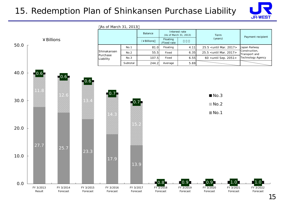### 15. Redemption Plan of Shinkansen Purchase Liability